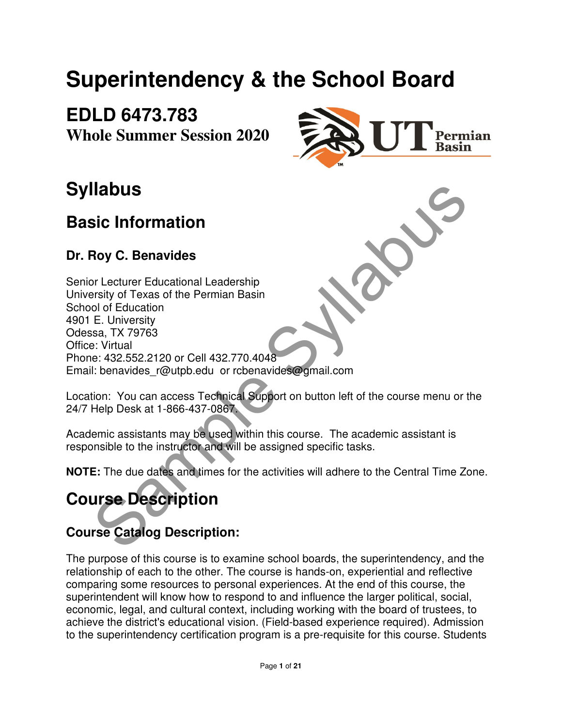# **Superintendency & the School Board**

**EDLD 6473.783 Whole Summer Session 2020**



# **Syllabus**

## **Basic Information**

### **Dr. Roy C. Benavides**

**Ilabus**<br>
Sic Information<br>
Noy C. Benavides<br>
of of Ecausation<br>
of Education<br>
E. University<br>
E. University<br>
Star, TX 79763<br>
E. University<br>
E. University<br>
I. benavides\_r@utpb.edu or rcbenavides@gmail.com<br>
tion: You can acces Senior Lecturer Educational Leadership University of Texas of the Permian Basin School of Education 4901 E. University Odessa, TX 79763 Office: Virtual Phone: 432.552.2120 or Cell 432.770.4048 Email: benavides r@utpb.edu or rcbenavides@gmail.com

Location: You can access Technical Support on button left of the course menu or the 24/7 Help Desk at 1-866-437-0867.

Academic assistants may be used within this course. The academic assistant is responsible to the instructor and will be assigned specific tasks.

**NOTE:** The due dates and times for the activities will adhere to the Central Time Zone.

# **Course Description**

## **Course Catalog Description:**

The purpose of this course is to examine school boards, the superintendency, and the relationship of each to the other. The course is hands-on, experiential and reflective comparing some resources to personal experiences. At the end of this course, the superintendent will know how to respond to and influence the larger political, social, economic, legal, and cultural context, including working with the board of trustees, to achieve the district's educational vision. (Field-based experience required). Admission to the superintendency certification program is a pre-requisite for this course. Students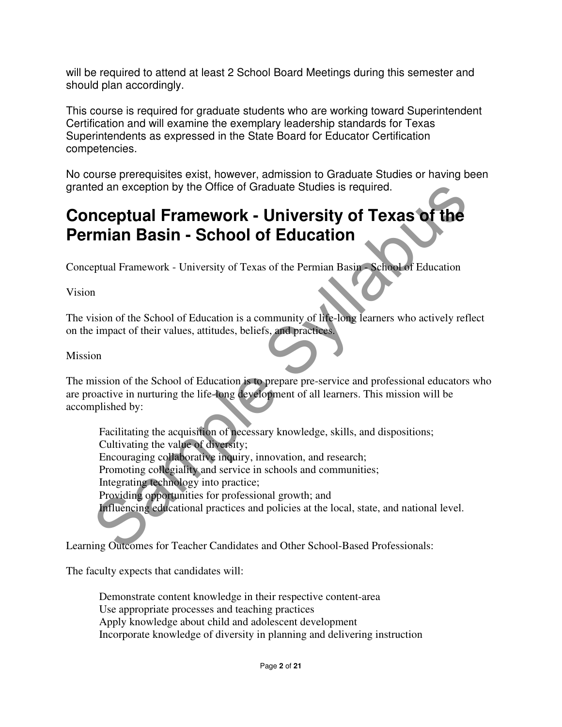will be required to attend at least 2 School Board Meetings during this semester and should plan accordingly.

This course is required for graduate students who are working toward Superintendent Certification and will examine the exemplary leadership standards for Texas Superintendents as expressed in the State Board for Educator Certification competencies.

No course prerequisites exist, however, admission to Graduate Studies or having been granted an exception by the Office of Graduate Studies is required.

## **Conceptual Framework - University of Texas of the Permian Basin - School of Education**

Conceptual Framework - University of Texas of the Permian Basin - School of Education

Vision

The vision of the School of Education is a community of life-long learners who actively reflect on the impact of their values, attitudes, beliefs, and practices.

#### Mission

The mission of the School of Education is to prepare pre-service and professional educators who are proactive in nurturing the life-long development of all learners. This mission will be accomplished by:

ed an exception by the Office of Graduate Studies is required.<br> **nceptual Framework - University of Texas of the**<br> **mian Basin - School of Education**<br>
ppuul Framework - University of Texas of the Permian Basin School of Ed Facilitating the acquisition of necessary knowledge, skills, and dispositions; Cultivating the value of diversity; Encouraging collaborative inquiry, innovation, and research; Promoting collegiality and service in schools and communities; Integrating technology into practice; Providing opportunities for professional growth; and Influencing educational practices and policies at the local, state, and national level.

Learning Outcomes for Teacher Candidates and Other School-Based Professionals:

The faculty expects that candidates will:

 Demonstrate content knowledge in their respective content-area Use appropriate processes and teaching practices Apply knowledge about child and adolescent development Incorporate knowledge of diversity in planning and delivering instruction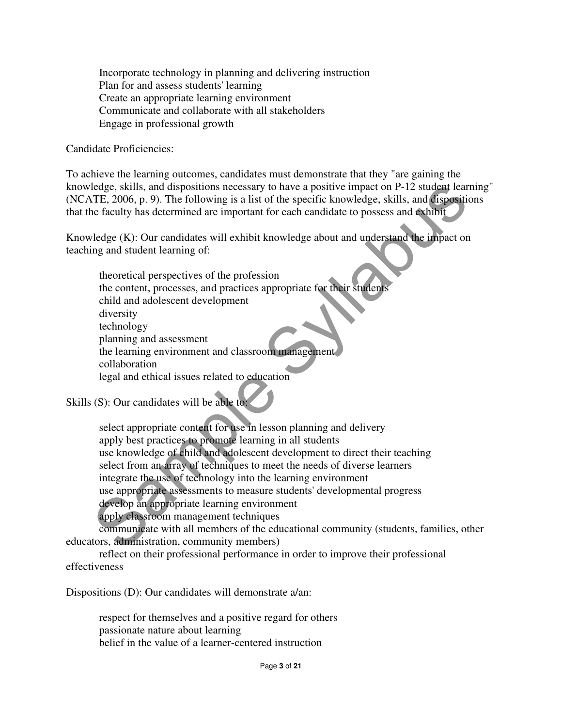Incorporate technology in planning and delivering instruction Plan for and assess students' learning Create an appropriate learning environment Communicate and collaborate with all stakeholders Engage in professional growth

#### Candidate Proficiencies:

To achieve the learning outcomes, candidates must demonstrate that they "are gaining the knowledge, skills, and dispositions necessary to have a positive impact on P-12 student learning" (NCATE, 2006, p. 9). The following is a list of the specific knowledge, skills, and dispositions that the faculty has determined are important for each candidate to possess and exhibit

Knowledge (K): Our candidates will exhibit knowledge about and understand the impact on teaching and student learning of:

 theoretical perspectives of the profession the content, processes, and practices appropriate for their students child and adolescent development diversity technology planning and assessment the learning environment and classroom management collaboration legal and ethical issues related to education

Skills (S): Our candidates will be able to:

ledge, skills, and dispositions necessary to have a positive impact on P-12 student learning<br>TTE, 2006, p. 9). The following is a list of the specific knowledge, skills, and disposition<br>of faculty has determined are import select appropriate content for use in lesson planning and delivery apply best practices to promote learning in all students use knowledge of child and adolescent development to direct their teaching select from an array of techniques to meet the needs of diverse learners integrate the use of technology into the learning environment use appropriate assessments to measure students' developmental progress develop an appropriate learning environment apply classroom management techniques

 communicate with all members of the educational community (students, families, other educators, administration, community members)

 reflect on their professional performance in order to improve their professional effectiveness

Dispositions (D): Our candidates will demonstrate a/an:

 respect for themselves and a positive regard for others passionate nature about learning belief in the value of a learner-centered instruction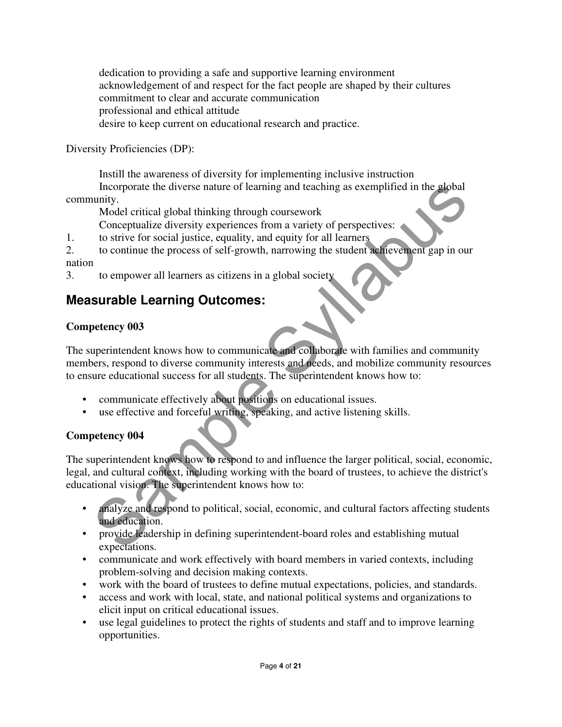dedication to providing a safe and supportive learning environment acknowledgement of and respect for the fact people are shaped by their cultures commitment to clear and accurate communication professional and ethical attitude desire to keep current on educational research and practice.

Diversity Proficiencies (DP):

 Instill the awareness of diversity for implementing inclusive instruction Incorporate the diverse nature of learning and teaching as exemplified in the global community.

Model critical global thinking through coursework

Conceptualize diversity experiences from a variety of perspectives:

1. to strive for social justice, equality, and equity for all learners

2. to continue the process of self-growth, narrowing the student achievement gap in our nation

3. to empower all learners as citizens in a global society

### **Measurable Learning Outcomes:**

#### **Competency 003**

The superintendent knows how to communicate and collaborate with families and community members, respond to diverse community interests and needs, and mobilize community resources to ensure educational success for all students. The superintendent knows how to:

- communicate effectively about positions on educational issues.
- use effective and forceful writing, speaking, and active listening skills.

#### **Competency 004**

Incorporate the diverse nature of learning and teaching as exemplified in the alobal<br>
unity.<br>
Model critical global thinking through coursework<br>
Conceptualize diversity experiences from a variety of perspectives:<br>
to striv The superintendent knows how to respond to and influence the larger political, social, economic, legal, and cultural context, including working with the board of trustees, to achieve the district's educational vision. The superintendent knows how to:

- analyze and respond to political, social, economic, and cultural factors affecting students and education.
- provide leadership in defining superintendent-board roles and establishing mutual expectations.
- communicate and work effectively with board members in varied contexts, including problem-solving and decision making contexts.
- work with the board of trustees to define mutual expectations, policies, and standards.
- access and work with local, state, and national political systems and organizations to elicit input on critical educational issues.
- use legal guidelines to protect the rights of students and staff and to improve learning opportunities.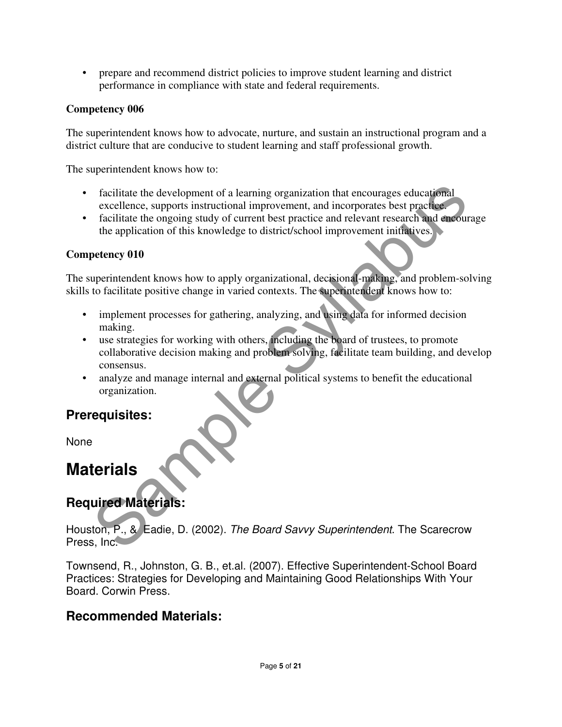• prepare and recommend district policies to improve student learning and district performance in compliance with state and federal requirements.

#### **Competency 006**

The superintendent knows how to advocate, nurture, and sustain an instructional program and a district culture that are conducive to student learning and staff professional growth.

The superintendent knows how to:

- facilitate the development of a learning organization that encourages educational excellence, supports instructional improvement, and incorporates best practice.
- facilitate the ongoing study of current best practice and relevant research and encourage the application of this knowledge to district/school improvement initiatives.

#### **Competency 010**

The superintendent knows how to apply organizational, decisional-making, and problem-solving skills to facilitate positive change in varied contexts. The superintendent knows how to:

- implement processes for gathering, analyzing, and using data for informed decision making.
- Facilitate the development of a learning organization that encourages educational<br>excellence, supports instructional improvement, and incorporates best practicles<br>facilitate the ongoing study of current best practice and r • use strategies for working with others, including the board of trustees, to promote collaborative decision making and problem solving, facilitate team building, and develop consensus.
- analyze and manage internal and external political systems to benefit the educational organization.

### **Prerequisites:**

None

## **Materials**

### **Required Materials:**

Houston, P., & Eadie, D. (2002). The Board Savvy Superintendent. The Scarecrow Press, Inc.

Townsend, R., Johnston, G. B., et.al. (2007). Effective Superintendent-School Board Practices: Strategies for Developing and Maintaining Good Relationships With Your Board. Corwin Press.

### **Recommended Materials:**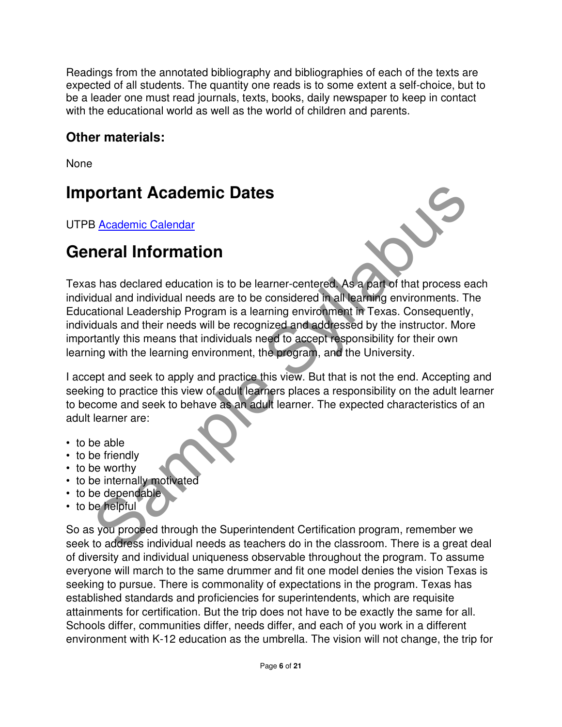Readings from the annotated bibliography and bibliographies of each of the texts are expected of all students. The quantity one reads is to some extent a self-choice, but to be a leader one must read journals, texts, books, daily newspaper to keep in contact with the educational world as well as the world of children and parents.

### **Other materials:**

None

## **Important Academic Dates**

UTPB Academic Calendar

## **General Information**



**Solution Academic Dates**<br>
Solution Calendar<br>
Solution Calendar<br>
Solution Calendar<br>
Shased education is to be learner-centered. As a part of that process ead<br>
dual and individual needs will be recognized and addensed by th Texas has declared education is to be learner-centered. As a part of that process each individual and individual needs are to be considered in all learning environments. The Educational Leadership Program is a learning environment in Texas. Consequently, individuals and their needs will be recognized and addressed by the instructor. More importantly this means that individuals need to accept responsibility for their own learning with the learning environment, the program, and the University.

I accept and seek to apply and practice this view. But that is not the end. Accepting and seeking to practice this view of adult learners places a responsibility on the adult learner to become and seek to behave as an adult learner. The expected characteristics of an adult learner are:

- to be able
- to be friendly
- to be worthy
- to be internally motivated
- to be dependable
- to be helpful

So as you proceed through the Superintendent Certification program, remember we seek to address individual needs as teachers do in the classroom. There is a great deal of diversity and individual uniqueness observable throughout the program. To assume everyone will march to the same drummer and fit one model denies the vision Texas is seeking to pursue. There is commonality of expectations in the program. Texas has established standards and proficiencies for superintendents, which are requisite attainments for certification. But the trip does not have to be exactly the same for all. Schools differ, communities differ, needs differ, and each of you work in a different environment with K-12 education as the umbrella. The vision will not change, the trip for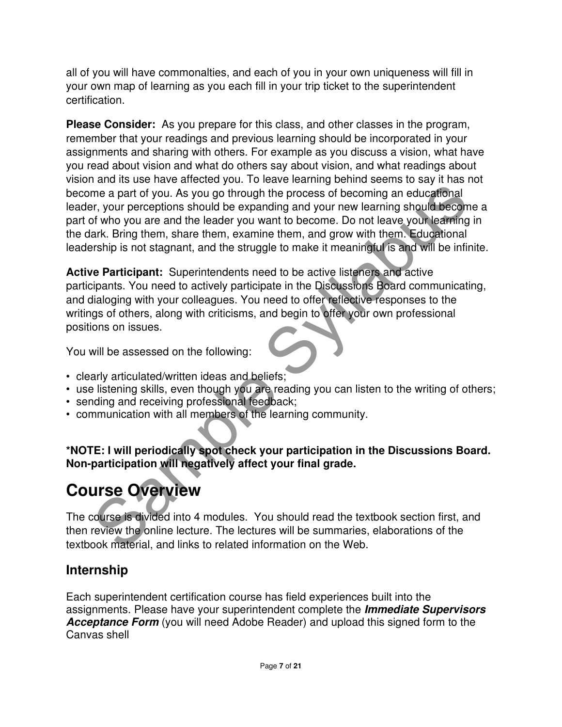all of you will have commonalties, and each of you in your own uniqueness will fill in your own map of learning as you each fill in your trip ticket to the superintendent certification.

me a part of you. As you go through the process of becoming an educational<br>me a part of you. As you go through the process of becoming an educational<br>r, r, your perceptions should be expanding and your new learning the<br>par **Please Consider:** As you prepare for this class, and other classes in the program, remember that your readings and previous learning should be incorporated in your assignments and sharing with others. For example as you discuss a vision, what have you read about vision and what do others say about vision, and what readings about vision and its use have affected you. To leave learning behind seems to say it has not become a part of you. As you go through the process of becoming an educational leader, your perceptions should be expanding and your new learning should become a part of who you are and the leader you want to become. Do not leave your learning in the dark. Bring them, share them, examine them, and grow with them. Educational leadership is not stagnant, and the struggle to make it meaningful is and will be infinite.

**Active Participant:** Superintendents need to be active listeners and active participants. You need to actively participate in the Discussions Board communicating, and dialoging with your colleagues. You need to offer reflective responses to the writings of others, along with criticisms, and begin to offer your own professional positions on issues.

You will be assessed on the following:

- clearly articulated/written ideas and beliefs;
- use listening skills, even though you are reading you can listen to the writing of others;
- sending and receiving professional feedback;
- communication with all members of the learning community.

**\*NOTE: I will periodically spot check your participation in the Discussions Board. Non-participation will negatively affect your final grade.**

# **Course Overview**

The course is divided into 4 modules. You should read the textbook section first, and then review the online lecture. The lectures will be summaries, elaborations of the textbook material, and links to related information on the Web.

### **Internship**

Each superintendent certification course has field experiences built into the assignments. Please have your superintendent complete the **Immediate Supervisors Acceptance Form** (you will need Adobe Reader) and upload this signed form to the Canvas shell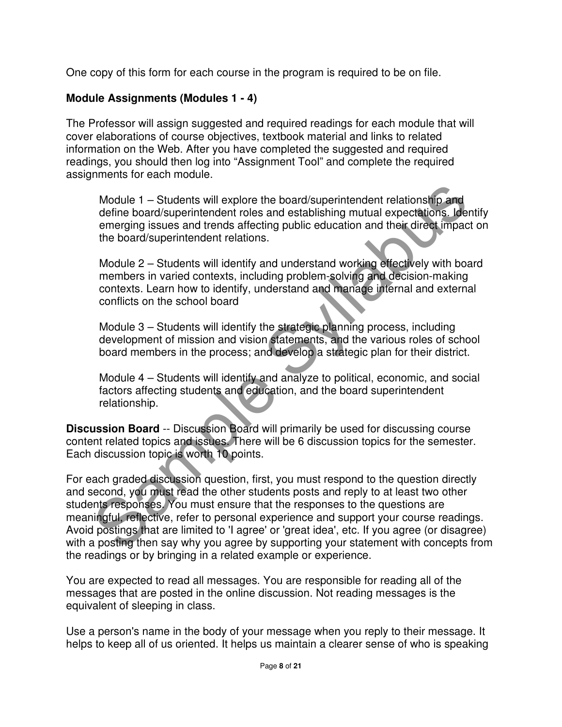One copy of this form for each course in the program is required to be on file.

#### **Module Assignments (Modules 1 - 4)**

The Professor will assign suggested and required readings for each module that will cover elaborations of course objectives, textbook material and links to related information on the Web. After you have completed the suggested and required readings, you should then log into "Assignment Tool" and complete the required assignments for each module.

Module 1 – Students will explore the board/superintendent relationship and define board/superintendent roles and establishing mutual expectations. Identify emerging issues and trends affecting public education and their direct impact on the board/superintendent relations.

Module 2 – Students will identify and understand working effectively with board members in varied contexts, including problem-solving and decision-making contexts. Learn how to identify, understand and manage internal and external conflicts on the school board

Module 3 – Students will identify the strategic planning process, including development of mission and vision statements, and the various roles of school board members in the process; and develop a strategic plan for their district.

Module 4 – Students will identify and analyze to political, economic, and social factors affecting students and education, and the board superintendent relationship.

**Discussion Board** -- Discussion Board will primarily be used for discussing course content related topics and issues. There will be 6 discussion topics for the semester. Each discussion topic is worth 10 points.

Module 1 – Students will explore the board/superintendent relationship and<br>define board/superintendent roles and establishing mutual expectations. Identi<br>energing issues and trends affecting public education and their dire For each graded discussion question, first, you must respond to the question directly and second, you must read the other students posts and reply to at least two other students responses. You must ensure that the responses to the questions are meaningful, reflective, refer to personal experience and support your course readings. Avoid postings that are limited to 'I agree' or 'great idea', etc. If you agree (or disagree) with a posting then say why you agree by supporting your statement with concepts from the readings or by bringing in a related example or experience.

You are expected to read all messages. You are responsible for reading all of the messages that are posted in the online discussion. Not reading messages is the equivalent of sleeping in class.

Use a person's name in the body of your message when you reply to their message. It helps to keep all of us oriented. It helps us maintain a clearer sense of who is speaking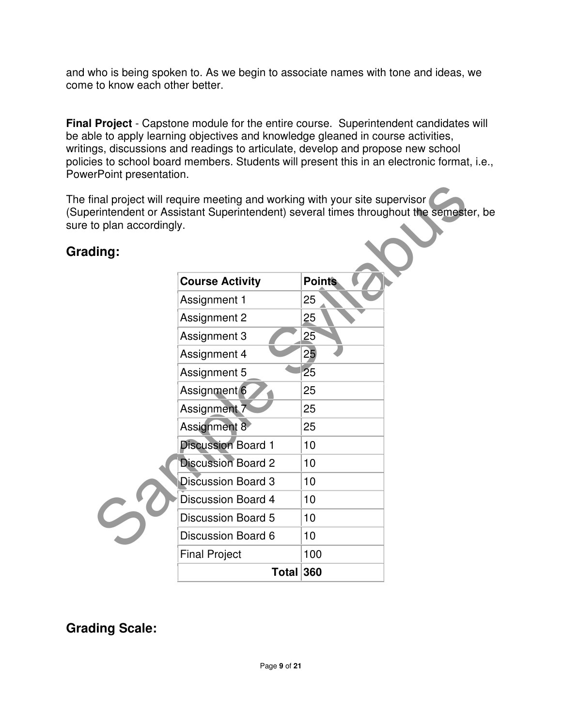and who is being spoken to. As we begin to associate names with tone and ideas, we come to know each other better.

**Final Project** - Capstone module for the entire course. Superintendent candidates will be able to apply learning objectives and knowledge gleaned in course activities, writings, discussions and readings to articulate, develop and propose new school policies to school board members. Students will present this in an electronic format, i.e., PowerPoint presentation.

The final project will require meeting and working with your site supervisor (Superintendent or Assistant Superintendent) several times throughout the semester, be sure to plan accordingly.

### **Grading:**

| to plan accordingly. | inal project will require meeting and working with your site supervisor<br>erintendent or Assistant Superintendent) several times throughout the semester, |               |  |
|----------------------|------------------------------------------------------------------------------------------------------------------------------------------------------------|---------------|--|
| :buik                |                                                                                                                                                            |               |  |
|                      | <b>Course Activity</b>                                                                                                                                     | <b>Points</b> |  |
|                      | Assignment 1                                                                                                                                               | 25            |  |
|                      | Assignment 2                                                                                                                                               | 25            |  |
|                      | Assignment 3                                                                                                                                               | 25            |  |
|                      | Assignment 4                                                                                                                                               | 25            |  |
|                      | Assignment 5                                                                                                                                               | 25            |  |
|                      | Assignment 6                                                                                                                                               | 25            |  |
|                      | Assignment <sub>7</sub>                                                                                                                                    | 25            |  |
|                      | Assignment 8                                                                                                                                               | 25            |  |
|                      | <b>Discussion Board 1</b>                                                                                                                                  | 10            |  |
|                      | <b>Discussion Board 2</b>                                                                                                                                  | 10            |  |
|                      | <b>Discussion Board 3</b>                                                                                                                                  | 10            |  |
|                      | <b>Discussion Board 4</b>                                                                                                                                  | 10            |  |
|                      | <b>Discussion Board 5</b>                                                                                                                                  | 10            |  |
|                      | <b>Discussion Board 6</b>                                                                                                                                  | 10            |  |
|                      | <b>Final Project</b>                                                                                                                                       | 100           |  |
|                      | Total 360                                                                                                                                                  |               |  |

**Grading Scale:**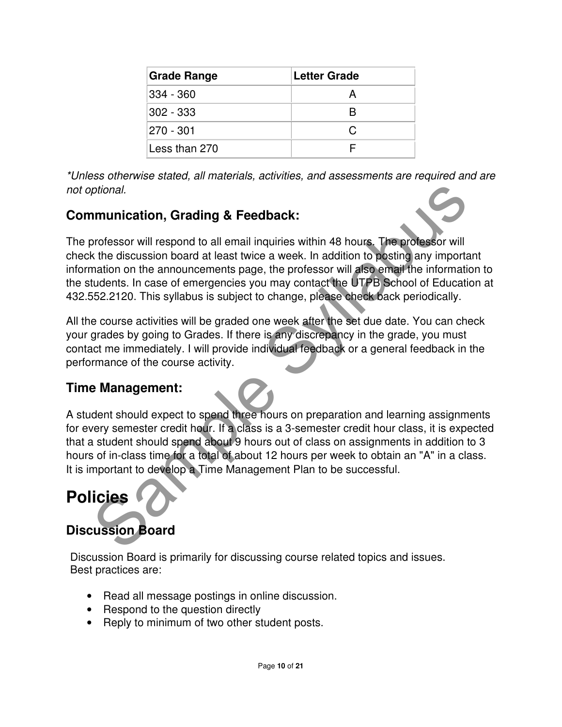| <b>Grade Range</b> | <b>Letter Grade</b> |
|--------------------|---------------------|
| 334 - 360          |                     |
| $302 - 333$        |                     |
| 270 - 301          | C                   |
| Less than 270      |                     |

\*Unless otherwise stated, all materials, activities, and assessments are required and are not optional.

## **Communication, Grading & Feedback:**

prional.<br>
Invinciation, Grading & Feedback:<br>
Invinciation, Grading & Feedback:<br>
Invisors will respond to all email inquiries within 48 hours. The professor will<br>
the discussion board at least twice a week. In addition to p The professor will respond to all email inquiries within 48 hours. The professor will check the discussion board at least twice a week. In addition to posting any important information on the announcements page, the professor will also email the information to the students. In case of emergencies you may contact the UTPB School of Education at 432.552.2120. This syllabus is subject to change, please check back periodically.

All the course activities will be graded one week after the set due date. You can check your grades by going to Grades. If there is any discrepancy in the grade, you must contact me immediately. I will provide individual feedback or a general feedback in the performance of the course activity.

### **Time Management:**

A student should expect to spend three hours on preparation and learning assignments for every semester credit hour. If a class is a 3-semester credit hour class, it is expected that a student should spend about 9 hours out of class on assignments in addition to 3 hours of in-class time for a total of about 12 hours per week to obtain an "A" in a class. It is important to develop a Time Management Plan to be successful.

# **Policies**

## **Discussion Board**

Discussion Board is primarily for discussing course related topics and issues. Best practices are:

- Read all message postings in online discussion.
- Respond to the question directly
- Reply to minimum of two other student posts.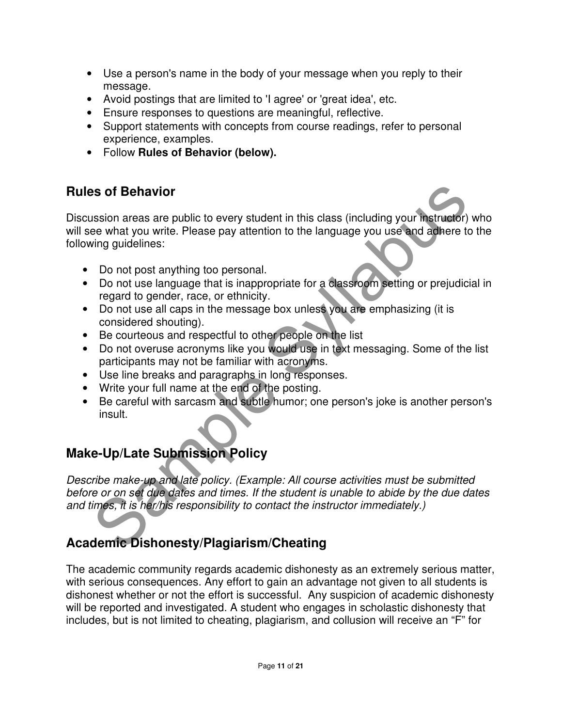- Use a person's name in the body of your message when you reply to their message.
- Avoid postings that are limited to 'I agree' or 'great idea', etc.
- Ensure responses to questions are meaningful, reflective.
- Support statements with concepts from course readings, refer to personal experience, examples.
- Follow **Rules of Behavior (below).**

## **Rules of Behavior**

**IS of Behavior**<br>
Sample Syllabus areas are public to every student in this class (including your instructor)<br>
the what you write. Please pay attention to the language you use and adhere to the<br>
Ing guidelines:<br>
Do not pos Discussion areas are public to every student in this class (including your instructor) who will see what you write. Please pay attention to the language you use and adhere to the following guidelines:

- Do not post anything too personal.
- Do not use language that is inappropriate for a classroom setting or prejudicial in regard to gender, race, or ethnicity.
- Do not use all caps in the message box unless you are emphasizing (it is considered shouting).
- Be courteous and respectful to other people on the list
- Do not overuse acronyms like you would use in text messaging. Some of the list participants may not be familiar with acronyms.
- Use line breaks and paragraphs in long responses.
- Write your full name at the end of the posting.
- Be careful with sarcasm and subtle humor; one person's joke is another person's insult.

## **Make-Up/Late Submission Policy**

Describe make-up and late policy. (Example: All course activities must be submitted before or on set due dates and times. If the student is unable to abide by the due dates and times, it is her/his responsibility to contact the instructor immediately.)

## **Academic Dishonesty/Plagiarism/Cheating**

The academic community regards academic dishonesty as an extremely serious matter, with serious consequences. Any effort to gain an advantage not given to all students is dishonest whether or not the effort is successful. Any suspicion of academic dishonesty will be reported and investigated. A student who engages in scholastic dishonesty that includes, but is not limited to cheating, plagiarism, and collusion will receive an "F" for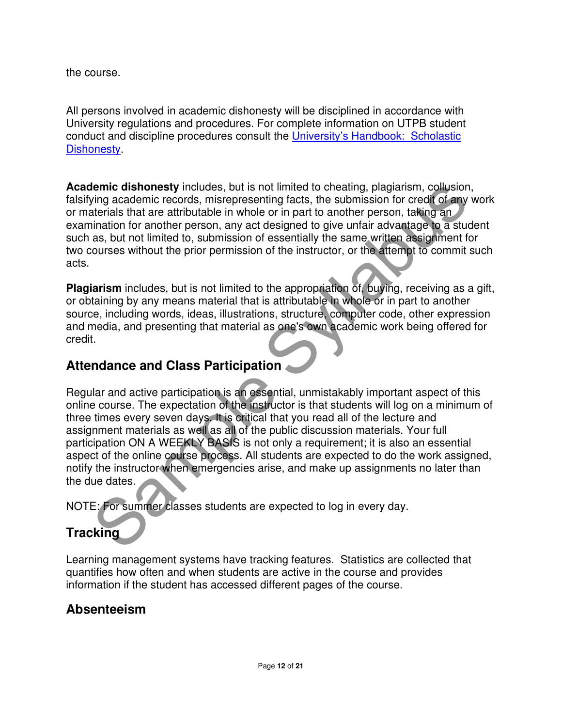the course.

All persons involved in academic dishonesty will be disciplined in accordance with University regulations and procedures. For complete information on UTPB student conduct and discipline procedures consult the University's Handbook: Scholastic Dishonesty.

**Academic dishonesty** includes, but is not limited to cheating, plagiarism, collusion, falsifying academic records, misrepresenting facts, the submission for credit of any work or materials that are attributable in whole or in part to another person, taking an examination for another person, any act designed to give unfair advantage to a student such as, but not limited to, submission of essentially the same written assignment for two courses without the prior permission of the instructor, or the attempt to commit such acts.

**Plagiarism** includes, but is not limited to the appropriation of, buying, receiving as a gift, or obtaining by any means material that is attributable in whole or in part to another source, including words, ideas, illustrations, structure, computer code, other expression and media, and presenting that material as one's own academic work being offered for credit.

#### **Attendance and Class Participation**

Figure dishonesty includes, but is not limited to cheating, plagiarian, collusion, the insternation of the submission for credit of any wing academic records, misrepresenting facts, the submission for credit of any wateria Regular and active participation is an essential, unmistakably important aspect of this online course. The expectation of the instructor is that students will log on a minimum of three times every seven days. It is critical that you read all of the lecture and assignment materials as well as all of the public discussion materials. Your full participation ON A WEEKLY BASIS is not only a requirement; it is also an essential aspect of the online course process. All students are expected to do the work assigned, notify the instructor when emergencies arise, and make up assignments no later than the due dates.

NOTE: For summer classes students are expected to log in every day.

## **Tracking**

Learning management systems have tracking features. Statistics are collected that quantifies how often and when students are active in the course and provides information if the student has accessed different pages of the course.

### **Absenteeism**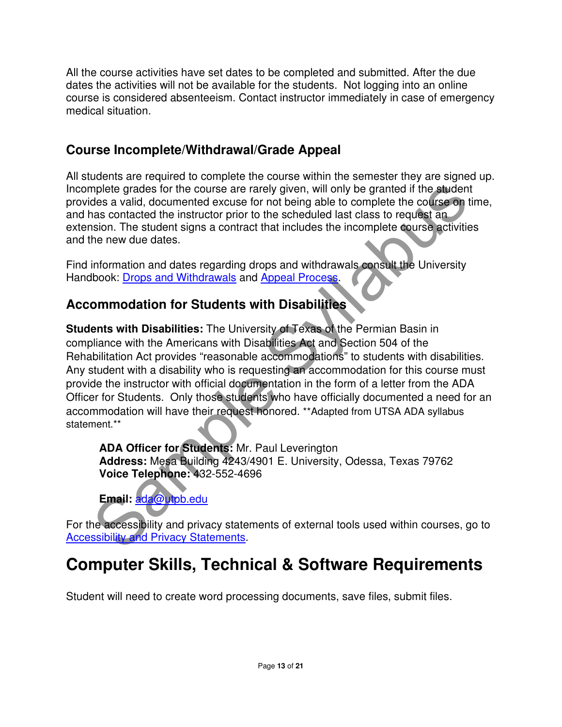All the course activities have set dates to be completed and submitted. After the due dates the activities will not be available for the students. Not logging into an online course is considered absenteeism. Contact instructor immediately in case of emergency medical situation.

### **Course Incomplete/Withdrawal/Grade Appeal**

All students are required to complete the course within the semester they are signed up. Incomplete grades for the course are rarely given, will only be granted if the student provides a valid, documented excuse for not being able to complete the course on time, and has contacted the instructor prior to the scheduled last class to request an extension. The student signs a contract that includes the incomplete course activities and the new due dates.

Find information and dates regarding drops and withdrawals consult the University Handbook: Drops and Withdrawals and Appeal Process.

## **Accommodation for Students with Disabilities**

mplete grades for the course are rarely given, will only be granted if the student<br>des a valid, documented excuse for not being able to complete the course on time<br>as contacted the instructor prior to the scheduled last cl **Students with Disabilities:** The University of Texas of the Permian Basin in compliance with the Americans with Disabilities Act and Section 504 of the Rehabilitation Act provides "reasonable accommodations" to students with disabilities. Any student with a disability who is requesting an accommodation for this course must provide the instructor with official documentation in the form of a letter from the ADA Officer for Students. Only those students who have officially documented a need for an accommodation will have their request honored. \*\*Adapted from UTSA ADA syllabus statement.\*\*

**ADA Officer for Students:** Mr. Paul Leverington **Address:** Mesa Building 4243/4901 E. University, Odessa, Texas 79762 **Voice Telephone:** 432-552-4696



For the accessibility and privacy statements of external tools used within courses, go to **Accessibility and Privacy Statements.** 

# **Computer Skills, Technical & Software Requirements**

Student will need to create word processing documents, save files, submit files.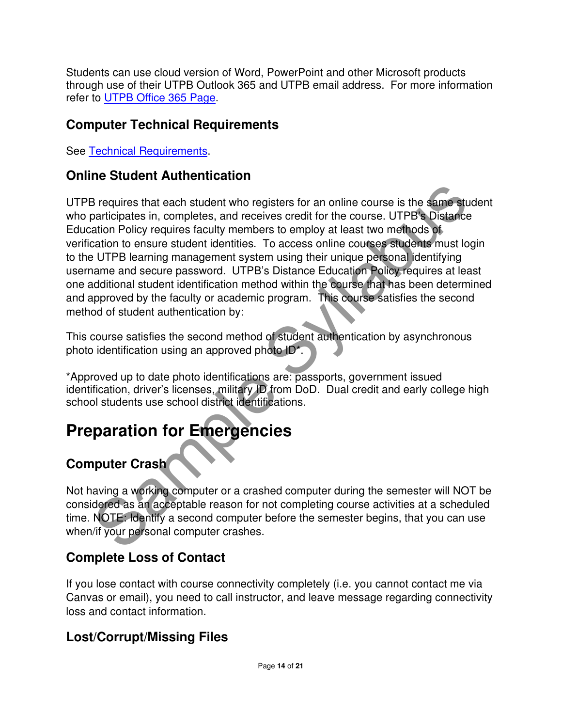Students can use cloud version of Word, PowerPoint and other Microsoft products through use of their UTPB Outlook 365 and UTPB email address. For more information refer to UTPB Office 365 Page.

### **Computer Technical Requirements**

See Technical Requirements.

## **Online Student Authentication**

B requires that each student who registers for an online course is the same studenticipates in, completes, and receives credit for the course. UTPB's Distance<br>attion Policy requires faculty members to employ at least two m UTPB requires that each student who registers for an online course is the same student who participates in, completes, and receives credit for the course. UTPB's Distance Education Policy requires faculty members to employ at least two methods of verification to ensure student identities. To access online courses students must login to the UTPB learning management system using their unique personal identifying username and secure password. UTPB's Distance Education Policy requires at least one additional student identification method within the course that has been determined and approved by the faculty or academic program. This course satisfies the second method of student authentication by:

This course satisfies the second method of student authentication by asynchronous photo identification using an approved photo ID\*.

\*Approved up to date photo identifications are: passports, government issued identification, driver's licenses, military ID from DoD. Dual credit and early college high school students use school district identifications.

# **Preparation for Emergencies**

## **Computer Crash**

Not having a working computer or a crashed computer during the semester will NOT be considered as an acceptable reason for not completing course activities at a scheduled time. NOTE: Identify a second computer before the semester begins, that you can use when/if your personal computer crashes.

## **Complete Loss of Contact**

If you lose contact with course connectivity completely (i.e. you cannot contact me via Canvas or email), you need to call instructor, and leave message regarding connectivity loss and contact information.

### **Lost/Corrupt/Missing Files**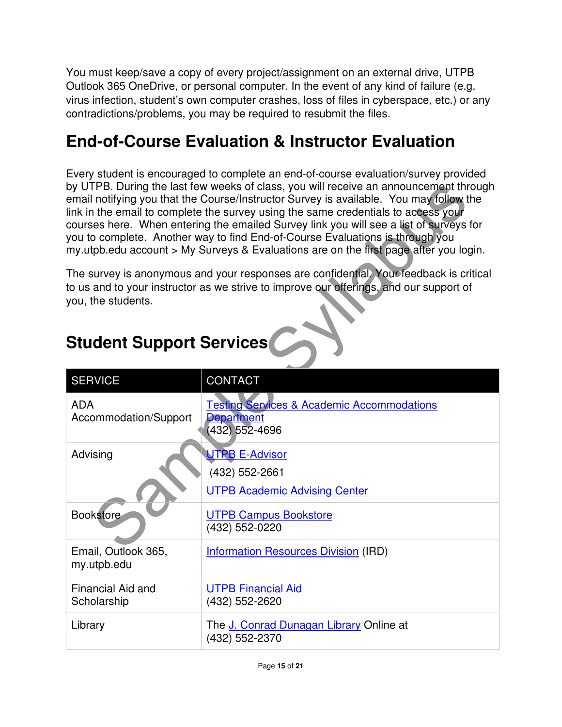You must keep/save a copy of every project/assignment on an external drive, UTPB Outlook 365 OneDrive, or personal computer. In the event of any kind of failure (e.g. virus infection, student's own computer crashes, loss of files in cyberspace, etc.) or any contradictions/problems, you may be required to resubmit the files.

# **End-of-Course Evaluation & Instructor Evaluation**

Every student is encouraged to complete an end-of-course evaluation/survey provided by UTPB. During the last few weeks of class, you will receive an announcement through email notifying you that the Course/Instructor Survey is available. You may follow the link in the email to complete the survey using the same credentials to access your courses here. When entering the emailed Survey link you will see a list of surveys for you to complete. Another way to find End-of-Course Evaluations is through you my.utpb.edu account > My Surveys & Evaluations are on the first page after you login.

| <b>Student Support Services</b> |  |
|---------------------------------|--|
|---------------------------------|--|

|                                                       | by UTPB. During the last few weeks of class, you will receive an announcement through<br>email notifying you that the Course/Instructor Survey is available. You may follow the<br>link in the email to complete the survey using the same credentials to access your<br>courses here. When entering the emailed Survey link you will see a list of surveys for<br>you to complete. Another way to find End-of-Course Evaluations is through you<br>my utpb edu account > My Surveys & Evaluations are on the first page after you login. |
|-------------------------------------------------------|-------------------------------------------------------------------------------------------------------------------------------------------------------------------------------------------------------------------------------------------------------------------------------------------------------------------------------------------------------------------------------------------------------------------------------------------------------------------------------------------------------------------------------------------|
| you, the students.<br><b>Student Support Services</b> | The survey is anonymous and your responses are confidential. Your feedback is critical<br>to us and to your instructor as we strive to improve our offerings, and our support of                                                                                                                                                                                                                                                                                                                                                          |
| <b>SERVICE</b>                                        | <b>CONTACT</b>                                                                                                                                                                                                                                                                                                                                                                                                                                                                                                                            |
| <b>ADA</b><br>Accommodation/Support                   | <b>Testing Services &amp; Academic Accommodations</b><br><b>Department</b><br>$(432)$ 552-4696                                                                                                                                                                                                                                                                                                                                                                                                                                            |
| Advising                                              | <b>UTPB E-Advisor</b><br>(432) 552-2661<br><b>UTPB Academic Advising Center</b>                                                                                                                                                                                                                                                                                                                                                                                                                                                           |
| <b>Bookstore</b>                                      | <b>UTPB Campus Bookstore</b><br>(432) 552-0220                                                                                                                                                                                                                                                                                                                                                                                                                                                                                            |
| Email, Outlook 365,<br>my.utpb.edu                    | <b>Information Resources Division (IRD)</b>                                                                                                                                                                                                                                                                                                                                                                                                                                                                                               |
| <b>Financial Aid and</b><br>Scholarship               | <b>UTPB Financial Aid</b><br>(432) 552-2620                                                                                                                                                                                                                                                                                                                                                                                                                                                                                               |
| Library                                               | The J. Conrad Dunagan Library Online at<br>(432) 552-2370                                                                                                                                                                                                                                                                                                                                                                                                                                                                                 |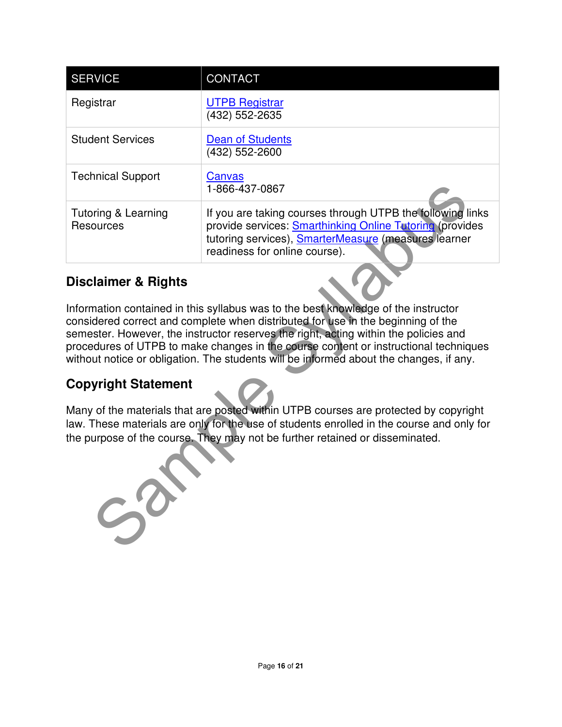| <b>SERVICE</b>                                      | <b>CONTACT</b>                                                                                                                                                                                                                                                                                                                                                                                                                                                                                                                                                                                                                                                                                                        |
|-----------------------------------------------------|-----------------------------------------------------------------------------------------------------------------------------------------------------------------------------------------------------------------------------------------------------------------------------------------------------------------------------------------------------------------------------------------------------------------------------------------------------------------------------------------------------------------------------------------------------------------------------------------------------------------------------------------------------------------------------------------------------------------------|
| Registrar                                           | <b>UTPB Registrar</b><br>(432) 552-2635                                                                                                                                                                                                                                                                                                                                                                                                                                                                                                                                                                                                                                                                               |
| <b>Student Services</b>                             | <b>Dean of Students</b><br>(432) 552-2600                                                                                                                                                                                                                                                                                                                                                                                                                                                                                                                                                                                                                                                                             |
| <b>Technical Support</b>                            | Canvas<br>1-866-437-0867                                                                                                                                                                                                                                                                                                                                                                                                                                                                                                                                                                                                                                                                                              |
| Tutoring & Learning<br><b>Resources</b>             | If you are taking courses through UTPB the following links<br>provide services: <b>Smarthinking Online Tutoring</b> (provides<br>tutoring services), SmarterMeasure (measures learner<br>readiness for online course).                                                                                                                                                                                                                                                                                                                                                                                                                                                                                                |
| <b>Copyright Statement</b><br>$S_{\!\!\mathcal{O}}$ | Information contained in this syllabus was to the best knowledge of the instructor<br>considered correct and complete when distributed for use in the beginning of the<br>semester. However, the instructor reserves the right, acting within the policies and<br>procedures of UTPB to make changes in the course content or instructional techniques<br>without notice or obligation. The students will be informed about the changes, if any.<br>Many of the materials that are posted within UTPB courses are protected by copyright<br>law. These materials are only for the use of students enrolled in the course and only for<br>the purpose of the course. They may not be further retained or disseminated. |

### **Disclaimer & Rights**

### **Copyright Statement**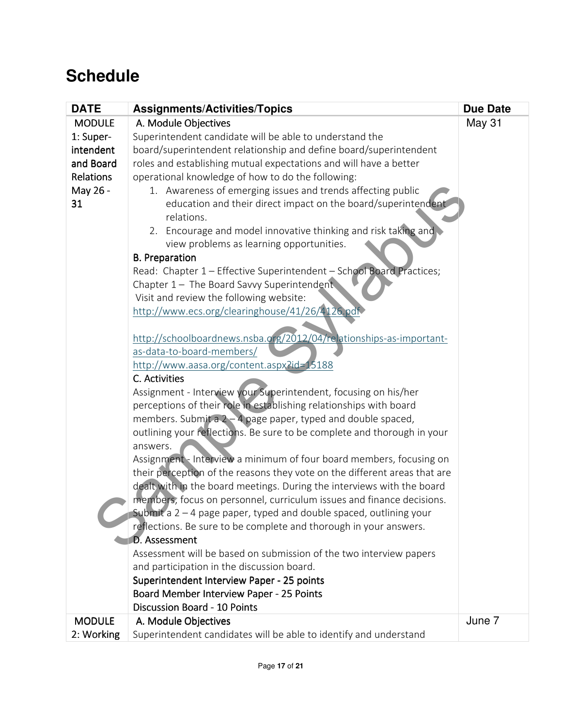## **Schedule**

| <b>DATE</b>      | <b>Assignments/Activities/Topics</b>                                      | <b>Due Date</b> |
|------------------|---------------------------------------------------------------------------|-----------------|
| <b>MODULE</b>    | A. Module Objectives                                                      | <b>May 31</b>   |
| 1: Super-        | Superintendent candidate will be able to understand the                   |                 |
| intendent        | board/superintendent relationship and define board/superintendent         |                 |
| and Board        | roles and establishing mutual expectations and will have a better         |                 |
| <b>Relations</b> | operational knowledge of how to do the following:                         |                 |
| May 26 -         | 1. Awareness of emerging issues and trends affecting public               |                 |
| 31               | education and their direct impact on the board/superintendent             |                 |
|                  | relations.                                                                |                 |
|                  | 2. Encourage and model innovative thinking and risk taking and            |                 |
|                  | view problems as learning opportunities.                                  |                 |
|                  | <b>B.</b> Preparation                                                     |                 |
|                  | Read: Chapter 1 - Effective Superintendent - School Board Practices;      |                 |
|                  | Chapter 1 - The Board Savvy Superintendent                                |                 |
|                  | Visit and review the following website:                                   |                 |
|                  | http://www.ecs.org/clearinghouse/41/26/4126.pdf                           |                 |
|                  |                                                                           |                 |
|                  | http://schoolboardnews.nsba.org/2012/04/relationships-as-important-       |                 |
|                  | as-data-to-board-members/                                                 |                 |
|                  | http://www.aasa.org/content.aspx?id=15188<br>C. Activities                |                 |
|                  | Assignment - Interview your Superintendent, focusing on his/her           |                 |
|                  | perceptions of their role in establishing relationships with board        |                 |
|                  | members. Submit a 2 - 4 page paper, typed and double spaced,              |                 |
|                  | outlining your reflections. Be sure to be complete and thorough in your   |                 |
|                  | answers.                                                                  |                 |
|                  | Assignment - Interview a minimum of four board members, focusing on       |                 |
|                  | their perception of the reasons they vote on the different areas that are |                 |
|                  | dealt with in the board meetings. During the interviews with the board    |                 |
|                  | members, focus on personnel, curriculum issues and finance decisions.     |                 |
|                  | Submit a $2 - 4$ page paper, typed and double spaced, outlining your      |                 |
|                  | reflections. Be sure to be complete and thorough in your answers.         |                 |
|                  | <b>D.</b> Assessment                                                      |                 |
|                  | Assessment will be based on submission of the two interview papers        |                 |
|                  | and participation in the discussion board.                                |                 |
|                  | Superintendent Interview Paper - 25 points                                |                 |
|                  | Board Member Interview Paper - 25 Points                                  |                 |
|                  | <b>Discussion Board - 10 Points</b>                                       |                 |
| <b>MODULE</b>    | A. Module Objectives                                                      | June 7          |
| 2: Working       | Superintendent candidates will be able to identify and understand         |                 |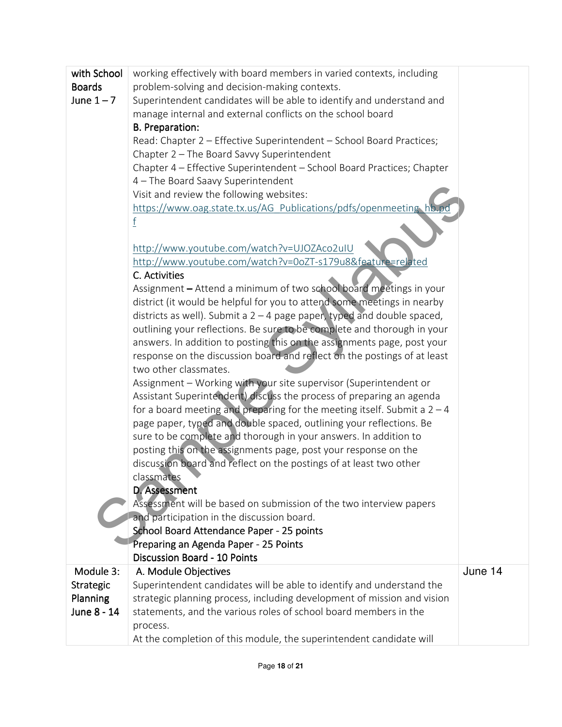| with School      | working effectively with board members in varied contexts, including                |         |
|------------------|-------------------------------------------------------------------------------------|---------|
| <b>Boards</b>    | problem-solving and decision-making contexts.                                       |         |
| June $1 - 7$     | Superintendent candidates will be able to identify and understand and               |         |
|                  | manage internal and external conflicts on the school board                          |         |
|                  | <b>B.</b> Preparation:                                                              |         |
|                  | Read: Chapter 2 - Effective Superintendent - School Board Practices;                |         |
|                  | Chapter 2 - The Board Savvy Superintendent                                          |         |
|                  | Chapter 4 - Effective Superintendent - School Board Practices; Chapter              |         |
|                  | 4 - The Board Saavy Superintendent                                                  |         |
|                  | Visit and review the following websites:                                            |         |
|                  | https://www.oag.state.tx.us/AG Publications/pdfs/openmeeting hb.pd                  |         |
|                  | f                                                                                   |         |
|                  | http://www.youtube.com/watch?v=UJOZAco2uIU                                          |         |
|                  | http://www.youtube.com/watch?v=0oZT-s179u8&feature=related                          |         |
|                  | C. Activities                                                                       |         |
|                  | Assignment – Attend a minimum of two school board meetings in your                  |         |
|                  | district (it would be helpful for you to attend some meetings in nearby             |         |
|                  | districts as well). Submit a $2 - 4$ page paper, typed and double spaced,           |         |
|                  | outlining your reflections. Be sure to be complete and thorough in your             |         |
|                  | answers. In addition to posting this on the assignments page, post your             |         |
|                  | response on the discussion board and reflect on the postings of at least            |         |
|                  | two other classmates.                                                               |         |
|                  | Assignment - Working with your site supervisor (Superintendent or                   |         |
|                  | Assistant Superintendent) discuss the process of preparing an agenda                |         |
|                  | for a board meeting and preparing for the meeting itself. Submit a $2 - 4$          |         |
|                  | page paper, typed and double spaced, outlining your reflections. Be                 |         |
|                  | sure to be complete and thorough in your answers. In addition to                    |         |
|                  | posting this on the assignments page, post your response on the                     |         |
|                  | discussion board and reflect on the postings of at least two other                  |         |
|                  | classmates                                                                          |         |
|                  | D. Assessment<br>Assessment will be based on submission of the two interview papers |         |
|                  | and participation in the discussion board.                                          |         |
|                  | School Board Attendance Paper - 25 points                                           |         |
|                  | Preparing an Agenda Paper - 25 Points                                               |         |
|                  | <b>Discussion Board - 10 Points</b>                                                 |         |
| Module 3:        | A. Module Objectives                                                                | June 14 |
| <b>Strategic</b> | Superintendent candidates will be able to identify and understand the               |         |
| Planning         | strategic planning process, including development of mission and vision             |         |
| June 8 - 14      | statements, and the various roles of school board members in the                    |         |
|                  | process.                                                                            |         |
|                  | At the completion of this module, the superintendent candidate will                 |         |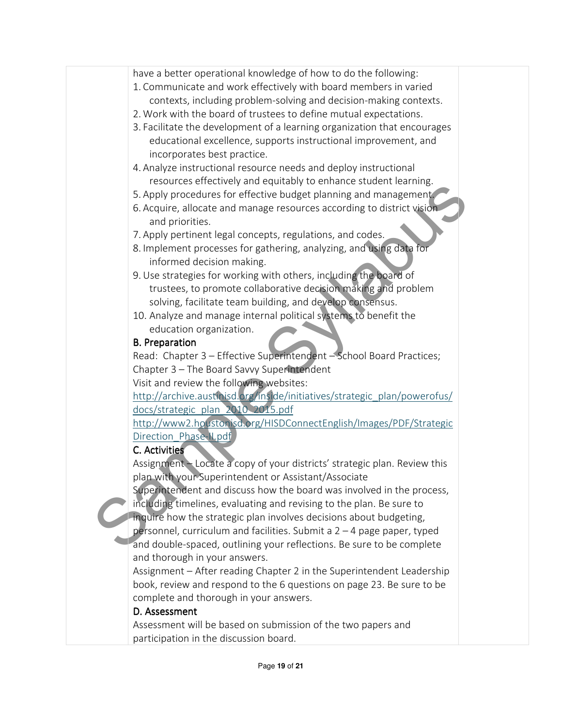| have a better operational knowledge of how to do the following:           |  |
|---------------------------------------------------------------------------|--|
| 1. Communicate and work effectively with board members in varied          |  |
| contexts, including problem-solving and decision-making contexts.         |  |
| 2. Work with the board of trustees to define mutual expectations.         |  |
| 3. Facilitate the development of a learning organization that encourages  |  |
| educational excellence, supports instructional improvement, and           |  |
|                                                                           |  |
| incorporates best practice.                                               |  |
| 4. Analyze instructional resource needs and deploy instructional          |  |
| resources effectively and equitably to enhance student learning.          |  |
| 5. Apply procedures for effective budget planning and management.         |  |
| 6. Acquire, allocate and manage resources according to district vision    |  |
| and priorities.                                                           |  |
| 7. Apply pertinent legal concepts, regulations, and codes.                |  |
| 8. Implement processes for gathering, analyzing, and using data for       |  |
| informed decision making.                                                 |  |
| 9. Use strategies for working with others, including the board of         |  |
| trustees, to promote collaborative decision making and problem            |  |
| solving, facilitate team building, and develop consensus.                 |  |
| 10. Analyze and manage internal political systems to benefit the          |  |
| education organization.                                                   |  |
| <b>B.</b> Preparation                                                     |  |
| Read: Chapter 3 - Effective Superintendent - School Board Practices;      |  |
| Chapter 3 - The Board Savvy Superintendent                                |  |
| Visit and review the following websites:                                  |  |
| http://archive.austinisd.org/inside/initiatives/strategic_plan/powerofus/ |  |
| docs/strategic plan 2010 2015.pdf                                         |  |
| http://www2.houstonisd.org/HISDConnectEnglish/Images/PDF/Strategic        |  |
| Direction Phase-N.pdf                                                     |  |
| C. Activities                                                             |  |
| Assignment - Locate a copy of your districts' strategic plan. Review this |  |
| plan with your Superintendent or Assistant/Associate                      |  |
| Superintendent and discuss how the board was involved in the process,     |  |
|                                                                           |  |
| including timelines, evaluating and revising to the plan. Be sure to      |  |
| inquire how the strategic plan involves decisions about budgeting,        |  |
| personnel, curriculum and facilities. Submit a $2 - 4$ page paper, typed  |  |
| and double-spaced, outlining your reflections. Be sure to be complete     |  |
| and thorough in your answers.                                             |  |
| Assignment - After reading Chapter 2 in the Superintendent Leadership     |  |
| book, review and respond to the 6 questions on page 23. Be sure to be     |  |
| complete and thorough in your answers.                                    |  |
| D. Assessment                                                             |  |

Assessment will be based on submission of the two papers and participation in the discussion board.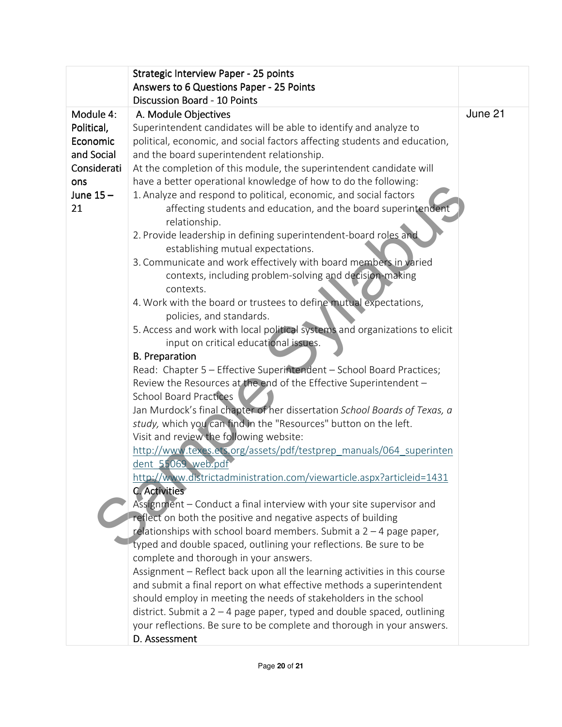|             | Strategic Interview Paper - 25 points                                                                 |         |
|-------------|-------------------------------------------------------------------------------------------------------|---------|
|             | Answers to 6 Questions Paper - 25 Points                                                              |         |
|             | <b>Discussion Board - 10 Points</b>                                                                   |         |
| Module 4:   | A. Module Objectives                                                                                  | June 21 |
| Political,  | Superintendent candidates will be able to identify and analyze to                                     |         |
| Economic    | political, economic, and social factors affecting students and education,                             |         |
| and Social  | and the board superintendent relationship.                                                            |         |
| Considerati | At the completion of this module, the superintendent candidate will                                   |         |
| ons         | have a better operational knowledge of how to do the following:                                       |         |
| June $15-$  | 1. Analyze and respond to political, economic, and social factors                                     |         |
| 21          | affecting students and education, and the board superintendent<br>relationship.                       |         |
|             | 2. Provide leadership in defining superintendent-board roles and<br>establishing mutual expectations. |         |
|             | 3. Communicate and work effectively with board members in varied                                      |         |
|             | contexts, including problem-solving and decision-making                                               |         |
|             | contexts.                                                                                             |         |
|             | 4. Work with the board or trustees to define mutual expectations,                                     |         |
|             | policies, and standards.                                                                              |         |
|             | 5. Access and work with local political systems and organizations to elicit                           |         |
|             | input on critical educational issues.                                                                 |         |
|             | <b>B.</b> Preparation                                                                                 |         |
|             | Read: Chapter 5 - Effective Superintendent - School Board Practices;                                  |         |
|             | Review the Resources at the end of the Effective Superintendent -                                     |         |
|             | <b>School Board Practices</b>                                                                         |         |
|             | Jan Murdock's final chapter of her dissertation School Boards of Texas, a                             |         |
|             | study, which you can find in the "Resources" button on the left.                                      |         |
|             | Visit and review the following website:                                                               |         |
|             | http://www.texes.ets.org/assets/pdf/testprep manuals/064 superinten                                   |         |
|             | dent 55069 web.pdf                                                                                    |         |
|             | http://www.districtadministration.com/viewarticle.aspx?articleid=1431<br><b>C. Activities</b>         |         |
|             | Assignment – Conduct a final interview with your site supervisor and                                  |         |
|             | reflect on both the positive and negative aspects of building                                         |         |
|             | relationships with school board members. Submit a $2 - 4$ page paper,                                 |         |
|             | typed and double spaced, outlining your reflections. Be sure to be                                    |         |
|             | complete and thorough in your answers.                                                                |         |
|             | Assignment - Reflect back upon all the learning activities in this course                             |         |
|             | and submit a final report on what effective methods a superintendent                                  |         |
|             | should employ in meeting the needs of stakeholders in the school                                      |         |
|             | district. Submit a $2 - 4$ page paper, typed and double spaced, outlining                             |         |
|             | your reflections. Be sure to be complete and thorough in your answers.                                |         |
|             | D. Assessment                                                                                         |         |